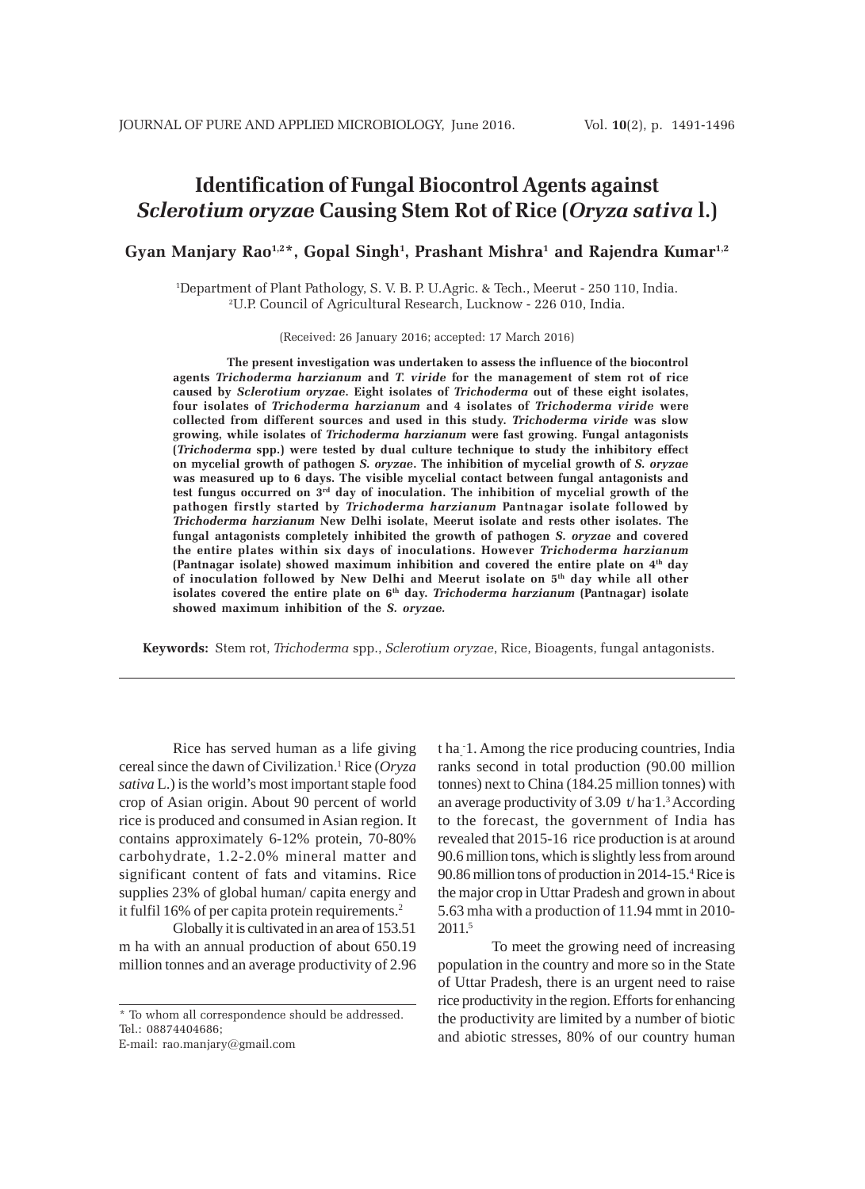# **Identification of Fungal Biocontrol Agents against** *Sclerotium oryzae* **Causing Stem Rot of Rice (***Oryza sativa* **l.)**

**Gyan Manjary Rao1,2\*, Gopal Singh1 , Prashant Mishra1 and Rajendra Kumar1,2**

1 Department of Plant Pathology, S. V. B. P. U.Agric. & Tech., Meerut - 250 110, India. 2 U.P. Council of Agricultural Research, Lucknow - 226 010, India.

(Received: 26 January 2016; accepted: 17 March 2016)

**The present investigation was undertaken to assess the influence of the biocontrol agents** *Trichoderma harzianum* **and** *T. viride* **for the management of stem rot of rice caused by** *Sclerotium oryzae***. Eight isolates of** *Trichoderma* **out of these eight isolates, four isolates of** *Trichoderma harzianum* **and 4 isolates of** *Trichoderma viride* **were collected from different sources and used in this study.** *Trichoderma viride* **was slow growing, while isolates of** *Trichoderma harzianum* **were fast growing. Fungal antagonists (***Trichoderma* **spp.) were tested by dual culture technique to study the inhibitory effect on mycelial growth of pathogen** *S. oryzae***. The inhibition of mycelial growth of** *S. oryzae* **was measured up to 6 days. The visible mycelial contact between fungal antagonists and test fungus occurred on 3rd day of inoculation. The inhibition of mycelial growth of the pathogen firstly started by** *Trichoderma harzianum* **Pantnagar isolate followed by** *Trichoderma harzianum* **New Delhi isolate, Meerut isolate and rests other isolates. The fungal antagonists completely inhibited the growth of pathogen** *S. oryzae* **and covered the entire plates within six days of inoculations. However** *Trichoderma harzianum* **(Pantnagar isolate) showed maximum inhibition and covered the entire plate on 4th day of inoculation followed by New Delhi and Meerut isolate on 5th day while all other** isolates covered the entire plate on 6<sup>th</sup> day. *Trichoderma harzianum* (Pantnagar) isolate **showed maximum inhibition of the** *S. oryzae.*

**Keywords:** Stem rot, *Trichoderma* spp., *Sclerotium oryzae*, Rice, Bioagents, fungal antagonists.

Rice has served human as a life giving cereal since the dawn of Civilization.1 Rice (*Oryza sativa* L.) is the world's most important staple food crop of Asian origin. About 90 percent of world rice is produced and consumed in Asian region. It contains approximately 6-12% protein, 70-80% carbohydrate, 1.2-2.0% mineral matter and significant content of fats and vitamins. Rice supplies 23% of global human/ capita energy and it fulfil 16% of per capita protein requirements.2

Globally it is cultivated in an area of 153.51 m ha with an annual production of about 650.19 million tonnes and an average productivity of 2.96

\* To whom all correspondence should be addressed. Tel.: 08874404686;

E-mail: rao.manjary@gmail.com

t ha- - 1. Among the rice producing countries, India ranks second in total production (90.00 million tonnes) next to China (184.25 million tonnes) with an average productivity of 3.09 t/ha 1.<sup>3</sup> According to the forecast, the government of India has revealed that 2015-16 rice production is at around 90.6 million tons, which is slightly less from around 90.86 million tons of production in 2014-15.4 Rice is the major crop in Uttar Pradesh and grown in about 5.63 mha with a production of 11.94 mmt in 2010- 2011.5

To meet the growing need of increasing population in the country and more so in the State of Uttar Pradesh, there is an urgent need to raise rice productivity in the region. Efforts for enhancing the productivity are limited by a number of biotic and abiotic stresses, 80% of our country human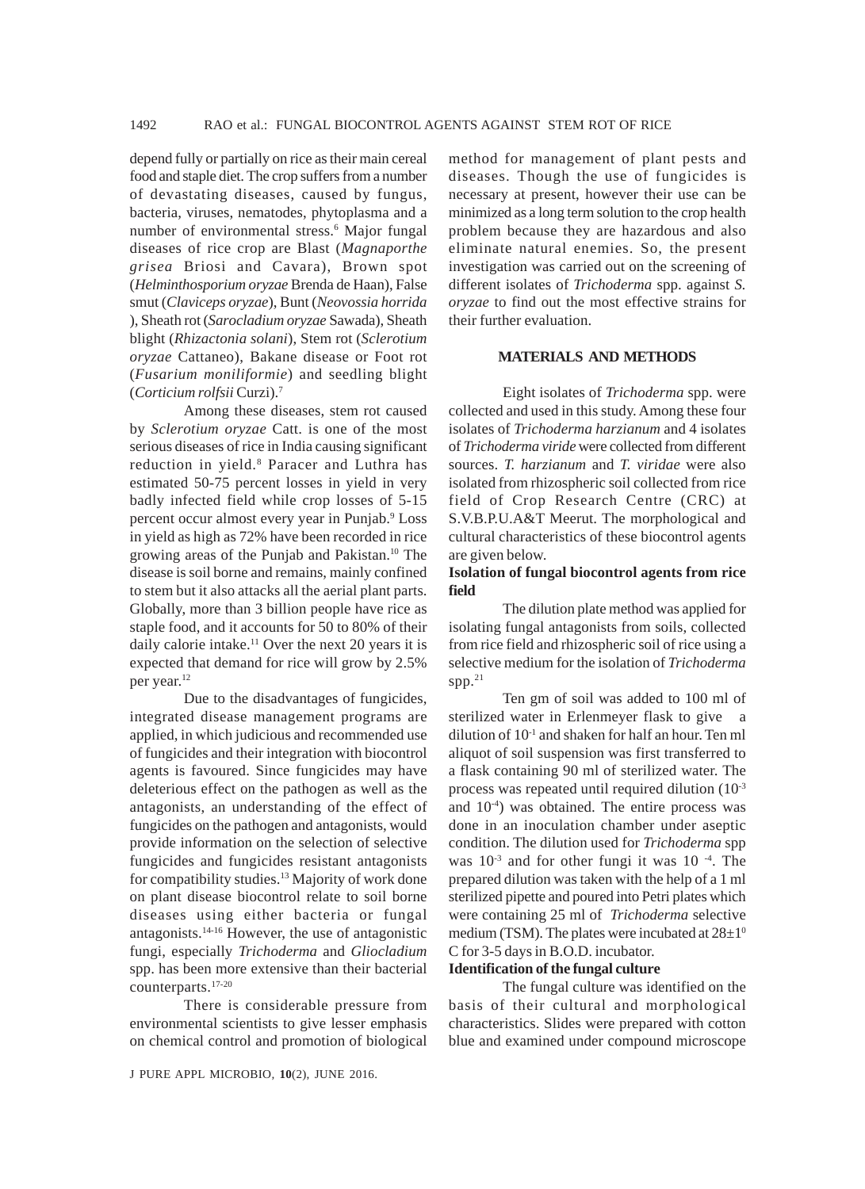depend fully or partially on rice as their main cereal food and staple diet. The crop suffers from a number of devastating diseases, caused by fungus, bacteria, viruses, nematodes, phytoplasma and a number of environmental stress.<sup>6</sup> Major fungal diseases of rice crop are Blast (*Magnaporthe grisea* Briosi and Cavara), Brown spot (*Helminthosporium oryzae* Brenda de Haan), False smut (*Claviceps oryzae*), Bunt (*Neovossia horrida* ), Sheath rot (*Sarocladium oryzae* Sawada), Sheath blight (*Rhizactonia solani*), Stem rot (*Sclerotium oryzae* Cattaneo), Bakane disease or Foot rot (*Fusarium moniliformie*) and seedling blight (*Corticium rolfsii* Curzi).7

Among these diseases, stem rot caused by *Sclerotium oryzae* Catt. is one of the most serious diseases of rice in India causing significant reduction in yield.<sup>8</sup> Paracer and Luthra has estimated 50-75 percent losses in yield in very badly infected field while crop losses of 5-15 percent occur almost every year in Punjab.<sup>9</sup> Loss in yield as high as 72% have been recorded in rice growing areas of the Punjab and Pakistan.10 The disease is soil borne and remains, mainly confined to stem but it also attacks all the aerial plant parts. Globally, more than 3 billion people have rice as staple food, and it accounts for 50 to 80% of their daily calorie intake.<sup>11</sup> Over the next 20 years it is expected that demand for rice will grow by 2.5% per year.12

Due to the disadvantages of fungicides, integrated disease management programs are applied, in which judicious and recommended use of fungicides and their integration with biocontrol agents is favoured. Since fungicides may have deleterious effect on the pathogen as well as the antagonists, an understanding of the effect of fungicides on the pathogen and antagonists, would provide information on the selection of selective fungicides and fungicides resistant antagonists for compatibility studies.13 Majority of work done on plant disease biocontrol relate to soil borne diseases using either bacteria or fungal antagonists.14-16 However, the use of antagonistic fungi, especially *Trichoderma* and *Gliocladium* spp. has been more extensive than their bacterial counterparts.17-20

There is considerable pressure from environmental scientists to give lesser emphasis on chemical control and promotion of biological

J PURE APPL MICROBIO*,* **10**(2), JUNE 2016.

method for management of plant pests and diseases. Though the use of fungicides is necessary at present, however their use can be minimized as a long term solution to the crop health problem because they are hazardous and also eliminate natural enemies. So, the present investigation was carried out on the screening of different isolates of *Trichoderma* spp. against *S. oryzae* to find out the most effective strains for their further evaluation.

#### **MATERIALS AND METHODS**

Eight isolates of *Trichoderma* spp. were collected and used in this study. Among these four isolates of *Trichoderma harzianum* and 4 isolates of *Trichoderma viride* were collected from different sources. *T. harzianum* and *T. viridae* were also isolated from rhizospheric soil collected from rice field of Crop Research Centre (CRC) at S.V.B.P.U.A&T Meerut. The morphological and cultural characteristics of these biocontrol agents are given below.

# **Isolation of fungal biocontrol agents from rice field**

The dilution plate method was applied for isolating fungal antagonists from soils, collected from rice field and rhizospheric soil of rice using a selective medium for the isolation of *Trichoderma* spp. $21$ 

Ten gm of soil was added to 100 ml of sterilized water in Erlenmeyer flask to give a dilution of 10-1 and shaken for half an hour. Ten ml aliquot of soil suspension was first transferred to a flask containing 90 ml of sterilized water. The process was repeated until required dilution (10-3 and 10-4) was obtained. The entire process was done in an inoculation chamber under aseptic condition. The dilution used for *Trichoderma* spp was  $10^{-3}$  and for other fungi it was  $10^{-4}$ . The prepared dilution was taken with the help of a 1 ml sterilized pipette and poured into Petri plates which were containing 25 ml of *Trichoderma* selective medium (TSM). The plates were incubated at  $28\pm10$ C for 3-5 days in B.O.D. incubator.

#### **Identification of the fungal culture**

The fungal culture was identified on the basis of their cultural and morphological characteristics. Slides were prepared with cotton blue and examined under compound microscope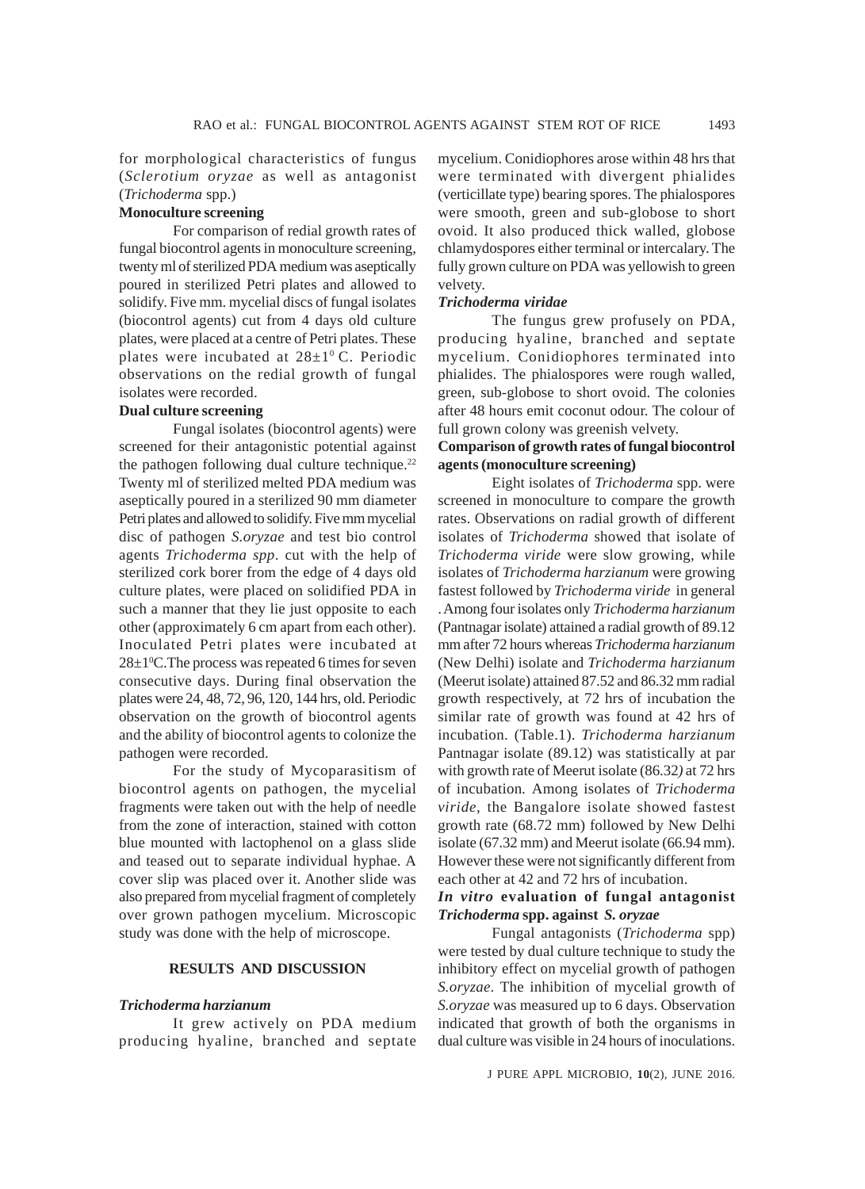for morphological characteristics of fungus (*Sclerotium oryzae* as well as antagonist (*Trichoderma* spp.)

# **Monoculture screening**

For comparison of redial growth rates of fungal biocontrol agents in monoculture screening, twenty ml of sterilized PDA medium was aseptically poured in sterilized Petri plates and allowed to solidify. Five mm. mycelial discs of fungal isolates (biocontrol agents) cut from 4 days old culture plates, were placed at a centre of Petri plates. These plates were incubated at  $28\pm1^{\circ}$  C. Periodic observations on the redial growth of fungal isolates were recorded.

## **Dual culture screening**

Fungal isolates (biocontrol agents) were screened for their antagonistic potential against the pathogen following dual culture technique. $22$ Twenty ml of sterilized melted PDA medium was aseptically poured in a sterilized 90 mm diameter Petri plates and allowed to solidify. Five mm mycelial disc of pathogen *S.oryzae* and test bio control agents *Trichoderma spp*. cut with the help of sterilized cork borer from the edge of 4 days old culture plates, were placed on solidified PDA in such a manner that they lie just opposite to each other (approximately 6 cm apart from each other). Inoculated Petri plates were incubated at  $28 \pm 1$ <sup>o</sup>C. The process was repeated 6 times for seven consecutive days. During final observation the plates were 24, 48, 72, 96, 120, 144 hrs, old. Periodic observation on the growth of biocontrol agents and the ability of biocontrol agents to colonize the pathogen were recorded.

For the study of Mycoparasitism of biocontrol agents on pathogen, the mycelial fragments were taken out with the help of needle from the zone of interaction, stained with cotton blue mounted with lactophenol on a glass slide and teased out to separate individual hyphae. A cover slip was placed over it. Another slide was also prepared from mycelial fragment of completely over grown pathogen mycelium. Microscopic study was done with the help of microscope.

# **RESULTS AND DISCUSSION**

#### *Trichoderma harzianum*

It grew actively on PDA medium producing hyaline, branched and septate

mycelium. Conidiophores arose within 48 hrs that were terminated with divergent phialides (verticillate type) bearing spores. The phialospores were smooth, green and sub-globose to short ovoid. It also produced thick walled, globose chlamydospores either terminal or intercalary. The fully grown culture on PDA was yellowish to green velvety.

# *Trichoderma viridae*

The fungus grew profusely on PDA, producing hyaline, branched and septate mycelium. Conidiophores terminated into phialides. The phialospores were rough walled, green, sub-globose to short ovoid. The colonies after 48 hours emit coconut odour. The colour of full grown colony was greenish velvety.

# **Comparison of growth rates of fungal biocontrol agents (monoculture screening)**

Eight isolates of *Trichoderma* spp. were screened in monoculture to compare the growth rates. Observations on radial growth of different isolates of *Trichoderma* showed that isolate of *Trichoderma viride* were slow growing, while isolates of *Trichoderma harzianum* were growing fastest followed by *Trichoderma viride* in general . Among four isolates only *Trichoderma harzianum* (Pantnagar isolate) attained a radial growth of 89.12 mm after 72 hours whereas *Trichoderma harzianum* (New Delhi) isolate and *Trichoderma harzianum* (Meerut isolate) attained 87.52 and 86.32 mm radial growth respectively, at 72 hrs of incubation the similar rate of growth was found at 42 hrs of incubation. (Table.1). *Trichoderma harzianum* Pantnagar isolate (89.12) was statistically at par with growth rate of Meerut isolate (86.32*)* at 72 hrs of incubation*.* Among isolates of *Trichoderma viride,* the Bangalore isolate showed fastest growth rate (68.72 mm) followed by New Delhi isolate (67.32 mm) and Meerut isolate (66.94 mm). However these were not significantly different from each other at 42 and 72 hrs of incubation.

# *In vitro* **evaluation of fungal antagonist** *Trichoderma* **spp. against** *S. oryzae*

Fungal antagonists (*Trichoderma* spp) were tested by dual culture technique to study the inhibitory effect on mycelial growth of pathogen *S.oryzae*. The inhibition of mycelial growth of *S.oryzae* was measured up to 6 days. Observation indicated that growth of both the organisms in dual culture was visible in 24 hours of inoculations.

J PURE APPL MICROBIO*,* **10**(2), JUNE 2016.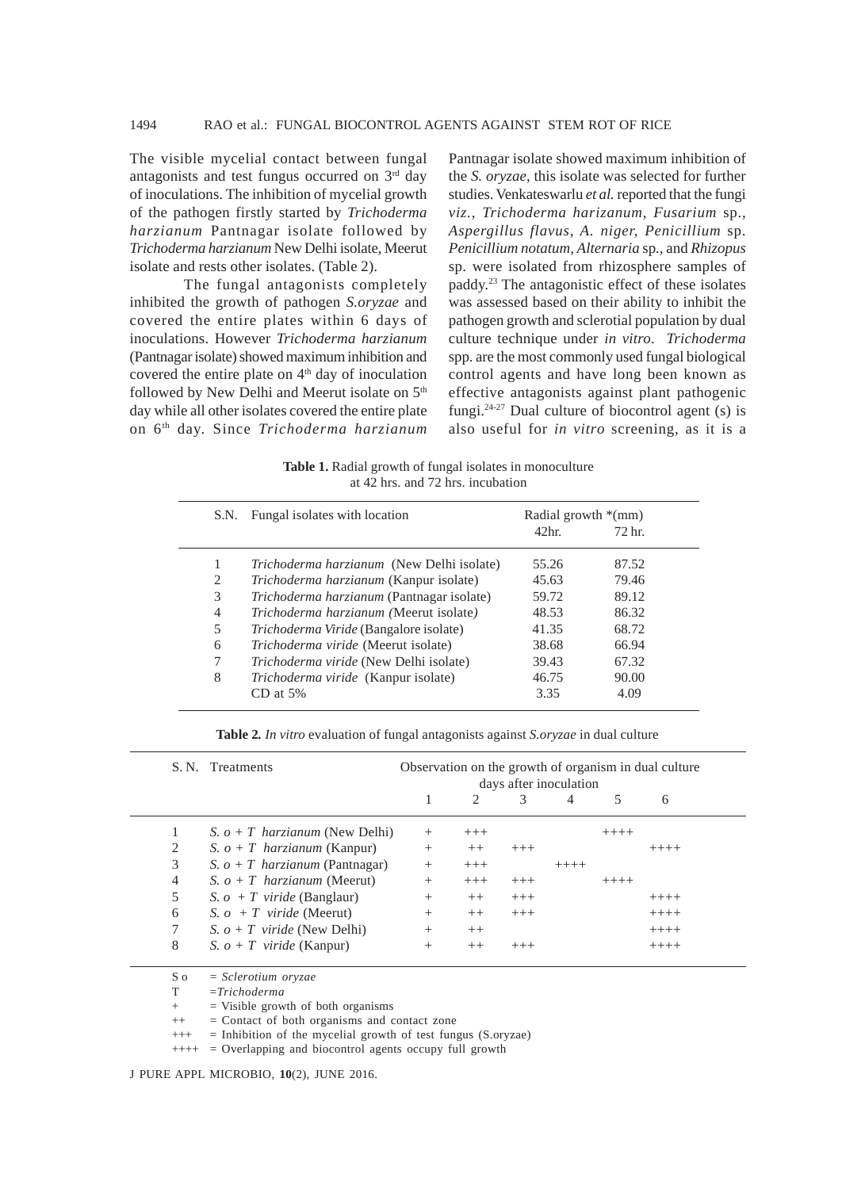The visible mycelial contact between fungal antagonists and test fungus occurred on  $3<sup>rd</sup>$  day of inoculations. The inhibition of mycelial growth of the pathogen firstly started by *Trichoderma harzianum* Pantnagar isolate followed by *Trichoderma harzianum* New Delhi isolate, Meerut isolate and rests other isolates. (Table 2).

The fungal antagonists completely inhibited the growth of pathogen *S.oryzae* and covered the entire plates within 6 days of inoculations. However *Trichoderma harzianum* (Pantnagar isolate) showed maximum inhibition and covered the entire plate on  $4<sup>th</sup>$  day of inoculation followed by New Delhi and Meerut isolate on 5<sup>th</sup> day while all other isolates covered the entire plate on 6th day. Since *Trichoderma harzianum*

Pantnagar isolate showed maximum inhibition of the *S. oryzae*, this isolate was selected for further studies. Venkateswarlu *et al.* reported that the fungi *viz., Trichoderma harizanum, Fusarium* sp., *Aspergillus flavus, A. niger, Penicillium* sp. *Penicillium notatum, Alternaria* sp*.,* and *Rhizopus* sp. were isolated from rhizosphere samples of paddy.23 The antagonistic effect of these isolates was assessed based on their ability to inhibit the pathogen growth and sclerotial population by dual culture technique under *in vitro*. *Trichoderma* spp. are the most commonly used fungal biological control agents and have long been known as effective antagonists against plant pathogenic fungi. $24-27$  Dual culture of biocontrol agent (s) is also useful for *in vitro* screening, as it is a

**Table 1.** Radial growth of fungal isolates in monoculture at 42 hrs. and 72 hrs. incubation

| S.N. | Fungal isolates with location                    | Radial growth $*(mm)$ |                   |  |
|------|--------------------------------------------------|-----------------------|-------------------|--|
|      |                                                  | 42 <sub>hr</sub>      | 72 <sub>hr.</sub> |  |
|      | <i>Trichoderma harzianum</i> (New Delhi isolate) | 55.26                 | 87.52             |  |
| 2    | Trichoderma harzianum (Kanpur isolate)           | 45.63                 | 79.46             |  |
| 3    | Trichoderma harzianum (Pantnagar isolate)        | 59.72                 | 89.12             |  |
| 4    | Trichoderma harzianum (Meerut isolate)           | 48.53                 | 86.32             |  |
| 5    | Trichoderma Viride (Bangalore isolate)           | 41.35                 | 68.72             |  |
| 6    | Trichoderma viride (Meerut isolate)              | 38.68                 | 66.94             |  |
| 7    | Trichoderma viride (New Delhi isolate)           | 39.43                 | 67.32             |  |
| 8    | Trichoderma viride (Kanpur isolate)              | 46.75                 | 90.00             |  |
|      | $CD$ at 5%                                       | 3.35                  | 4.09              |  |

**Table 2***. In vitro* evaluation of fungal antagonists against *S.oryzae* in dual culture

|   | S. N. Treatments                 | Observation on the growth of organism in dual culture<br>days after inoculation |                             |          |         |         |         |  |
|---|----------------------------------|---------------------------------------------------------------------------------|-----------------------------|----------|---------|---------|---------|--|
|   |                                  |                                                                                 | $\mathcal{D}_{\mathcal{L}}$ |          | 4       |         | 6       |  |
|   | S. $o + T$ harzianum (New Delhi) | $^+$                                                                            | $^{+++}$                    |          |         | $++++-$ |         |  |
| 2 | S. $o + T$ harzianum (Kanpur)    | $^{+}$                                                                          | $++$                        | $+++$    |         |         | $+++++$ |  |
| 3 | S. $o + T$ harzianum (Pantnagar) | $^{+}$                                                                          | $+++$                       |          | $+++++$ |         |         |  |
| 4 | S. $o + T$ harzianum (Meerut)    | $^{+}$                                                                          | $+++$                       | $+++$    |         | $+++++$ |         |  |
| 5 | S. $o + T$ viride (Banglaur)     | $^{+}$                                                                          | $++$                        | $+++$    |         |         | $++++-$ |  |
| 6 | S. $o + T$ viride (Meerut)       | $^{+}$                                                                          | $++$                        | $+++$    |         |         | $+++++$ |  |
| 7 | S. $o + T$ viride (New Delhi)    | $^{+}$                                                                          | $++$                        |          |         |         | $+++++$ |  |
| 8 | S. $o + T$ viride (Kanpur)       | $^+$                                                                            | $^{++}$                     | $^{+++}$ |         |         | $+++++$ |  |

S o = *Sclerotium oryzae*

T =*Trichoderma*

+ = Visible growth of both organisms

++ = Contact of both organisms and contact zone

+++ = Inhibition of the mycelial growth of test fungus (S.oryzae)

++++ = Overlapping and biocontrol agents occupy full growth

J PURE APPL MICROBIO*,* **10**(2), JUNE 2016.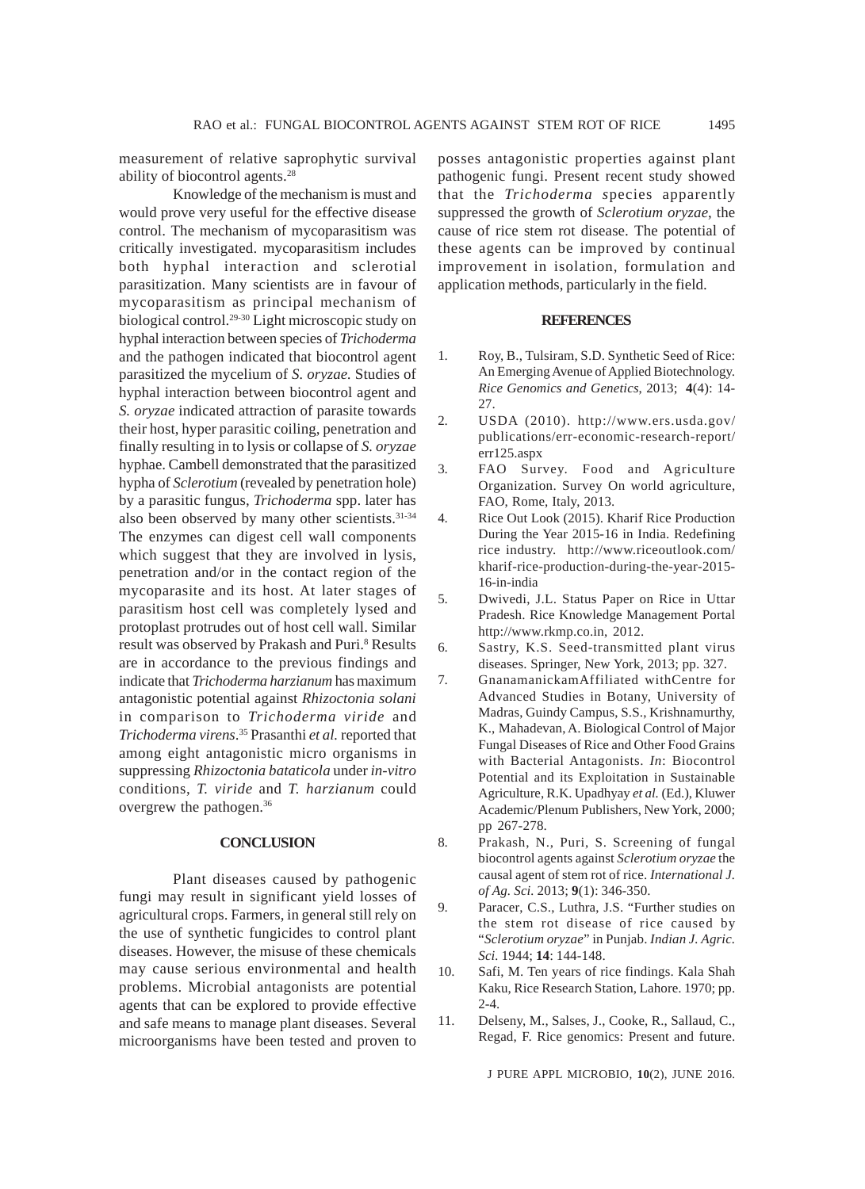measurement of relative saprophytic survival ability of biocontrol agents.28

Knowledge of the mechanism is must and would prove very useful for the effective disease control. The mechanism of mycoparasitism was critically investigated. mycoparasitism includes both hyphal interaction and sclerotial parasitization. Many scientists are in favour of mycoparasitism as principal mechanism of biological control.29-30 Light microscopic study on hyphal interaction between species of *Trichoderma* and the pathogen indicated that biocontrol agent parasitized the mycelium of *S. oryzae.* Studies of hyphal interaction between biocontrol agent and *S. oryzae* indicated attraction of parasite towards their host, hyper parasitic coiling, penetration and finally resulting in to lysis or collapse of *S. oryzae* hyphae. Cambell demonstrated that the parasitized hypha of *Sclerotium* (revealed by penetration hole) by a parasitic fungus, *Trichoderma* spp. later has also been observed by many other scientists.<sup>31-34</sup> The enzymes can digest cell wall components which suggest that they are involved in lysis, penetration and/or in the contact region of the mycoparasite and its host. At later stages of parasitism host cell was completely lysed and protoplast protrudes out of host cell wall. Similar result was observed by Prakash and Puri.<sup>8</sup> Results are in accordance to the previous findings and indicate that *Trichoderma harzianum* has maximum antagonistic potential against *Rhizoctonia solani* in comparison to *Trichoderma viride* and *Trichoderma virens*. 35 Prasanthi *et al.* reported that among eight antagonistic micro organisms in suppressing *Rhizoctonia bataticola* under *in-vitro* conditions, *T. viride* and *T. harzianum* could overgrew the pathogen.36

## **CONCLUSION**

Plant diseases caused by pathogenic fungi may result in significant yield losses of agricultural crops. Farmers, in general still rely on the use of synthetic fungicides to control plant diseases. However, the misuse of these chemicals may cause serious environmental and health problems. Microbial antagonists are potential agents that can be explored to provide effective and safe means to manage plant diseases. Several microorganisms have been tested and proven to

posses antagonistic properties against plant pathogenic fungi. Present recent study showed that the *Trichoderma s*pecies apparently suppressed the growth of *Sclerotium oryzae*, the cause of rice stem rot disease. The potential of these agents can be improved by continual improvement in isolation, formulation and application methods, particularly in the field.

#### **REFERENCES**

- 1. Roy, B., Tulsiram, S.D. Synthetic Seed of Rice: An Emerging Avenue of Applied Biotechnology. *Rice Genomics and Genetics*, 2013; **4**(4): 14- 27.
- 2. USDA (2010). http://www.ers.usda.gov/ publications/err-economic-research-report/ err125.aspx
- 3. FAO Survey. Food and Agriculture Organization. Survey On world agriculture, FAO, Rome, Italy, 2013.
- 4. Rice Out Look (2015). Kharif Rice Production During the Year 2015-16 in India. Redefining rice industry. http://www.riceoutlook.com/ kharif-rice-production-during-the-year-2015- 16-in-india
- 5. Dwivedi, J.L. Status Paper on Rice in Uttar Pradesh. Rice Knowledge Management Portal http://www.rkmp.co.in, 2012.
- 6. Sastry, K.S. Seed-transmitted plant virus diseases. Springer, New York, 2013; pp. 327.
- 7. GnanamanickamAffiliated withCentre for Advanced Studies in Botany, University of Madras, Guindy Campus, S.S., Krishnamurthy, K., Mahadevan, A. Biological Control of Major Fungal Diseases of Rice and Other Food Grains with Bacterial Antagonists. *In*: Biocontrol Potential and its Exploitation in Sustainable Agriculture, R.K. Upadhyay *et al.* (Ed.), Kluwer Academic/Plenum Publishers, New York, 2000; pp 267-278.
- 8. Prakash, N., Puri, S. Screening of fungal biocontrol agents against *Sclerotium oryzae* the causal agent of stem rot of rice. *International J. of Ag. Sci.* 2013; **9**(1): 346-350.
- 9. Paracer, C.S., Luthra, J.S. "Further studies on the stem rot disease of rice caused by "*Sclerotium oryzae*" in Punjab. *Indian J. Agric. Sci.* 1944; **14**: 144-148.
- 10. Safi, M. Ten years of rice findings. Kala Shah Kaku, Rice Research Station, Lahore. 1970; pp.  $2 - 4$ .
- 11. Delseny, M., Salses, J., Cooke, R., Sallaud, C., Regad, F. Rice genomics: Present and future.

J PURE APPL MICROBIO*,* **10**(2), JUNE 2016.